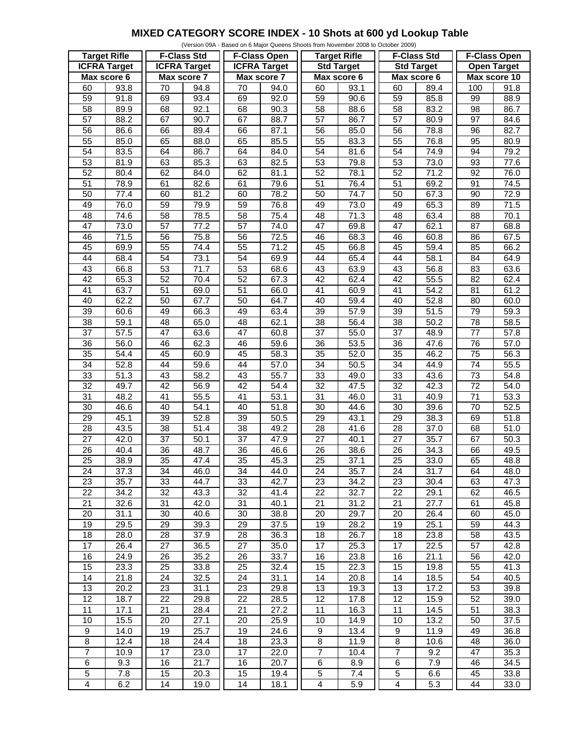## **MIXED CATEGORY SCORE INDEX - 10 Shots at 600 yd Lookup Table**

|                     |                   |                     |                   |                     |                   | (Version 09A - Based on 6 Major Queens Shoots from November 2008 to October 2009) |      |                    |      |                     |      |
|---------------------|-------------------|---------------------|-------------------|---------------------|-------------------|-----------------------------------------------------------------------------------|------|--------------------|------|---------------------|------|
| <b>Target Rifle</b> |                   | <b>F-Class Std</b>  |                   | <b>F-Class Open</b> |                   | <b>Target Rifle</b>                                                               |      | <b>F-Class Std</b> |      | <b>F-Class Open</b> |      |
| <b>ICFRA Target</b> |                   | <b>ICFRA Target</b> |                   | <b>ICFRA</b> Target |                   | <b>Std Target</b>                                                                 |      | <b>Std Target</b>  |      | <b>Open Target</b>  |      |
| Max score 6         |                   | Max score 7         |                   | Max score 7         |                   | Max score 6                                                                       |      | Max score 6        |      | Max score 10        |      |
| 60                  | 93.8              | 70                  | 94.8              | 70                  | 94.0              | 60                                                                                | 93.1 | 60                 | 89.4 | 100                 | 91.8 |
| 59                  | 91.8              | 69                  | 93.4              | 69                  | 92.0              | 59                                                                                | 90.6 | 59                 | 85.8 | 99                  | 88.9 |
| 58                  | 89.9              | 68                  | 92.1              | 68                  | $\overline{90.3}$ | 58                                                                                | 88.6 | 58                 | 83.2 | 98                  | 86.7 |
| $\overline{57}$     | 88.2              | 67                  | 90.7              | 67                  | 88.7              | $\overline{57}$                                                                   | 86.7 | $\overline{57}$    | 80.9 | $\overline{97}$     | 84.6 |
|                     |                   |                     |                   |                     |                   |                                                                                   |      |                    |      |                     |      |
| 56                  | 86.6              | 66                  | 89.4              | 66                  | 87.1              | 56                                                                                | 85.0 | 56                 | 78.8 | 96                  | 82.7 |
| 55                  | 85.0              | 65                  | 88.0              | 65                  | 85.5              | 55                                                                                | 83.3 | 55                 | 76.8 | 95                  | 80.9 |
| 54                  | 83.5              | 64                  | 86.7              | 64                  | 84.0              | 54                                                                                | 81.6 | 54                 | 74.9 | 94                  | 79.2 |
| 53                  | 81.9              | 63                  | 85.3              | 63                  | 82.5              | 53                                                                                | 79.8 | 53                 | 73.0 | 93                  | 77.6 |
| 52                  | 80.4              | 62                  | 84.0              | 62                  | 81.1              | 52                                                                                | 78.1 | $\overline{52}$    | 71.2 | $\overline{92}$     | 76.0 |
| $\overline{51}$     | 78.9              | 61                  | 82.6              | 61                  | 79.6              | $\overline{51}$                                                                   | 76.4 | $\overline{51}$    | 69.2 | 91                  | 74.5 |
| 50                  | 77.4              | 60                  | 81.2              | 60                  | 78.2              | 50                                                                                | 74.7 | 50                 | 67.3 | 90                  | 72.9 |
| 49                  | 76.0              | 59                  | 79.9              | 59                  | 76.8              | 49                                                                                | 73.0 | 49                 | 65.3 | 89                  | 71.5 |
| 48                  | 74.6              | 58                  | 78.5              | 58                  | 75.4              | 48                                                                                | 71.3 | 48                 | 63.4 | 88                  | 70.1 |
| 47                  | 73.0              | 57                  | 77.2              | $\overline{57}$     | 74.0              | $\overline{47}$                                                                   | 69.8 | 47                 | 62.1 | $\overline{87}$     | 68.8 |
| 46                  | 71.5              | 56                  | 75.8              | $\overline{56}$     | 72.5              | 46                                                                                | 68.3 | 46                 | 60.8 | 86                  | 67.5 |
| 45                  | 69.9              | 55                  | 74.4              | 55                  | 71.2              | 45                                                                                | 66.8 | 45                 | 59.4 | 85                  | 66.2 |
| 44                  | 68.4              | $\overline{54}$     | 73.1              | $\overline{54}$     | 69.9              | 44                                                                                | 65.4 | 44                 | 58.1 | 84                  | 64.9 |
|                     |                   |                     |                   |                     |                   |                                                                                   |      |                    |      |                     |      |
| 43                  | 66.8              | 53                  | 71.7              | 53                  | 68.6              | 43                                                                                | 63.9 | 43                 | 56.8 | 83                  | 63.6 |
| 42                  | 65.3              | 52                  | 70.4              | 52                  | 67.3              | $\overline{42}$                                                                   | 62.4 | $\overline{42}$    | 55.5 | $\overline{82}$     | 62.4 |
| $\overline{41}$     | 63.7              | 51                  | 69.0              | 51                  | 66.0              | $\overline{41}$                                                                   | 60.9 | 41                 | 54.2 | 81                  | 61.2 |
| 40                  | 62.2              | $\overline{50}$     | 67.7              | 50                  | 64.7              | 40                                                                                | 59.4 | 40                 | 52.8 | 80                  | 60.0 |
| $\overline{39}$     | 60.6              | 49                  | 66.3              | 49                  | 63.4              | $\overline{39}$                                                                   | 57.9 | $\overline{39}$    | 51.5 | 79                  | 59.3 |
| 38                  | 59.1              | 48                  | 65.0              | 48                  | 62.1              | 38                                                                                | 56.4 | 38                 | 50.2 | 78                  | 58.5 |
| $\overline{37}$     | $\overline{57.5}$ | 47                  | 63.6              | $\overline{47}$     | 60.8              | $\overline{37}$                                                                   | 55.0 | $\overline{37}$    | 48.9 | $\overline{77}$     | 57.8 |
| $\overline{36}$     | 56.0              | 46                  | 62.3              | 46                  | 59.6              | 36                                                                                | 53.5 | $\overline{36}$    | 47.6 | $\overline{76}$     | 57.0 |
| 35                  | 54.4              | 45                  | 60.9              | 45                  | 58.3              | 35                                                                                | 52.0 | 35                 | 46.2 | 75                  | 56.3 |
| 34                  | 52.8              | 44                  | 59.6              | 44                  | $\overline{57.0}$ | $\overline{34}$                                                                   | 50.5 | $\overline{34}$    | 44.9 | $\overline{74}$     | 55.5 |
| 33                  | $\overline{51.3}$ | 43                  | 58.2              | 43                  | $\overline{55.7}$ | 33                                                                                | 49.0 | 33                 | 43.6 | 73                  | 54.8 |
| $\overline{32}$     | 49.7              | 42                  | 56.9              | 42                  | 54.4              | $\overline{32}$                                                                   | 47.5 | $\overline{32}$    | 42.3 | $\overline{72}$     | 54.0 |
| 31                  | 48.2              | 41                  | 55.5              | 41                  | 53.1              | 31                                                                                | 46.0 | 31                 | 40.9 | $\overline{71}$     | 53.3 |
|                     |                   |                     |                   |                     |                   |                                                                                   |      |                    |      |                     |      |
| 30                  | 46.6              | 40                  | 54.1              | 40                  | 51.8              | $\overline{30}$                                                                   | 44.6 | $\overline{30}$    | 39.6 | 70                  | 52.5 |
| $\overline{29}$     | 45.1              | $\overline{39}$     | $\overline{52.8}$ | $\overline{39}$     | 50.5              | $\overline{29}$                                                                   | 43.1 | $\overline{29}$    | 38.3 | 69                  | 51.8 |
| 28                  | 43.5              | 38                  | 51.4              | 38                  | 49.2              | 28                                                                                | 41.6 | 28                 | 37.0 | 68                  | 51.0 |
| $\overline{27}$     | 42.0              | $\overline{37}$     | 50.1              | $\overline{37}$     | 47.9              | $\overline{27}$                                                                   | 40.1 | $\overline{27}$    | 35.7 | 67                  | 50.3 |
| $\overline{26}$     | 40.4              | $\overline{36}$     | 48.7              | $\overline{36}$     | 46.6              | $\overline{26}$                                                                   | 38.6 | $\overline{26}$    | 34.3 | 66                  | 49.5 |
| $\overline{25}$     | 38.9              | $\overline{35}$     | 47.4              | $\overline{35}$     | 45.3              | $\overline{25}$                                                                   | 37.1 | $\overline{25}$    | 33.0 | 65                  | 48.8 |
| 24                  | 37.3              | 34                  | 46.0              | 34                  | 44.0              | 24                                                                                | 35.7 | 24                 | 31.7 | 64                  | 48.0 |
| 23                  | 35.7              | 33                  | 44.7              | 33                  | 42.7              | 23                                                                                | 34.2 | 23                 | 30.4 | 63                  | 47.3 |
| 22                  | 34.2              | 32                  | 43.3              | 32                  | 41.4              | 22                                                                                | 32.7 | 22                 | 29.1 | 62                  | 46.5 |
| 21                  | 32.6              | 31                  | 42.0              | 31                  | 40.1              | 21                                                                                | 31.2 | 21                 | 27.7 | 61                  | 45.8 |
| 20                  | 31.1              | 30                  | 40.6              | 30                  | 38.8              | 20                                                                                | 29.7 | 20                 | 26.4 | 60                  | 45.0 |
| 19                  | 29.5              | 29                  | 39.3              | 29                  | 37.5              | 19                                                                                | 28.2 | 19                 | 25.1 | 59                  | 44.3 |
| 18                  | 28.0              | 28                  | 37.9              | 28                  | 36.3              | 18                                                                                | 26.7 | 18                 | 23.8 | 58                  | 43.5 |
| $\overline{17}$     | 26.4              | 27                  | 36.5              | 27                  | 35.0              | 17                                                                                | 25.3 | 17                 | 22.5 | 57                  | 42.8 |
| 16                  |                   |                     | 35.2              |                     | 33.7              |                                                                                   | 23.8 |                    | 21.1 |                     | 42.0 |
|                     | 24.9              | 26                  |                   | 26                  |                   | 16                                                                                |      | 16                 |      | 56                  |      |
| 15                  | 23.3              | 25                  | 33.8              | 25                  | 32.4              | 15                                                                                | 22.3 | 15                 | 19.8 | 55                  | 41.3 |
| 14                  | 21.8              | 24                  | 32.5              | 24                  | 31.1              | 14                                                                                | 20.8 | 14                 | 18.5 | 54                  | 40.5 |
| 13                  | 20.2              | 23                  | 31.1              | 23                  | 29.8              | 13                                                                                | 19.3 | 13                 | 17.2 | 53                  | 39.8 |
| 12                  | 18.7              | 22                  | 29.8              | 22                  | 28.5              | 12                                                                                | 17.8 | 12                 | 15.9 | 52                  | 39.0 |
| 11                  | 17.1              | 21                  | 28.4              | 21                  | 27.2              | 11                                                                                | 16.3 | 11                 | 14.5 | 51                  | 38.3 |
| 10                  | 15.5              | 20                  | 27.1              | 20                  | 25.9              | 10                                                                                | 14.9 | 10                 | 13.2 | 50                  | 37.5 |
| $\boldsymbol{9}$    | 14.0              | 19                  | 25.7              | 19                  | 24.6              | 9                                                                                 | 13.4 | 9                  | 11.9 | 49                  | 36.8 |
| $\bf 8$             | 12.4              | 18                  | 24.4              | 18                  | 23.3              | 8                                                                                 | 11.9 | 8                  | 10.6 | 48                  | 36.0 |
| $\overline{7}$      | 10.9              | 17                  | 23.0              | 17                  | 22.0              | $\overline{7}$                                                                    | 10.4 | $\overline{7}$     | 9.2  | 47                  | 35.3 |
| $\,6$               | 9.3               | 16                  | 21.7              | 16                  | 20.7              | 6                                                                                 | 8.9  | 6                  | 7.9  | 46                  | 34.5 |
| $\mathbf 5$         | 7.8               | 15                  | 20.3              | 15                  | 19.4              | 5                                                                                 | 7.4  | 5                  | 6.6  | 45                  | 33.8 |
| $\overline{4}$      |                   |                     | 19.0              | 14                  |                   | $\overline{\mathbf{4}}$                                                           |      |                    |      |                     |      |
|                     | 6.2               | 14                  |                   |                     | 18.1              |                                                                                   | 5.9  | 4                  | 5.3  | 44                  | 33.0 |